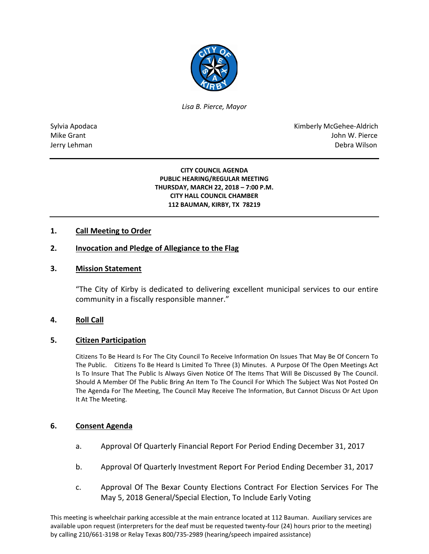

*Lisa B. Pierce, Mayor* 

Sylvia Apodaca National Apodaca Kimberly McGehee-Aldrich Mike Grant John W. Pierce Jerry Lehman Debra Wilson (2008) and the state of the state of the state of the state of the state of the state of the state of the state of the state of the state of the state of the state of the state of the state of the

#### **CITY COUNCIL AGENDA PUBLIC HEARING/REGULAR MEETING THURSDAY, MARCH 22, 2018 – 7:00 P.M. CITY HALL COUNCIL CHAMBER 112 BAUMAN, KIRBY, TX 78219**

## **1. Call Meeting to Order**

## **2. Invocation and Pledge of Allegiance to the Flag**

## **3. Mission Statement**

"The City of Kirby is dedicated to delivering excellent municipal services to our entire community in a fiscally responsible manner."

### **4. Roll Call**

### **5. Citizen Participation**

Citizens To Be Heard Is For The City Council To Receive Information On Issues That May Be Of Concern To The Public. Citizens To Be Heard Is Limited To Three (3) Minutes. A Purpose Of The Open Meetings Act Is To Insure That The Public Is Always Given Notice Of The Items That Will Be Discussed By The Council. Should A Member Of The Public Bring An Item To The Council For Which The Subject Was Not Posted On The Agenda For The Meeting, The Council May Receive The Information, But Cannot Discuss Or Act Upon It At The Meeting.

### **6. Consent Agenda**

- a. Approval Of Quarterly Financial Report For Period Ending December 31, 2017
- b. Approval Of Quarterly Investment Report For Period Ending December 31, 2017
- c. Approval Of The Bexar County Elections Contract For Election Services For The May 5, 2018 General/Special Election, To Include Early Voting

This meeting is wheelchair parking accessible at the main entrance located at 112 Bauman. Auxiliary services are available upon request (interpreters for the deaf must be requested twenty-four (24) hours prior to the meeting) by calling 210/661-3198 or Relay Texas 800/735-2989 (hearing/speech impaired assistance)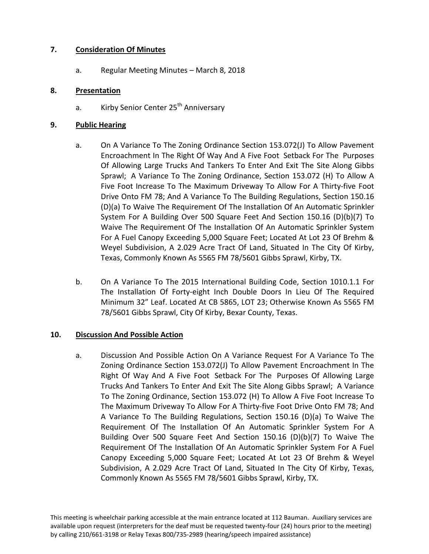## **7. Consideration Of Minutes**

a. Regular Meeting Minutes – March 8, 2018

## **8. Presentation**

a. Kirby Senior Center 25<sup>th</sup> Anniversary

## **9. Public Hearing**

- a. On A Variance To The Zoning Ordinance Section 153.072(J) To Allow Pavement Encroachment In The Right Of Way And A Five Foot Setback For The Purposes Of Allowing Large Trucks And Tankers To Enter And Exit The Site Along Gibbs Sprawl; A Variance To The Zoning Ordinance, Section 153.072 (H) To Allow A Five Foot Increase To The Maximum Driveway To Allow For A Thirty-five Foot Drive Onto FM 78; And A Variance To The Building Regulations, Section 150.16 (D)(a) To Waive The Requirement Of The Installation Of An Automatic Sprinkler System For A Building Over 500 Square Feet And Section 150.16 (D)(b)(7) To Waive The Requirement Of The Installation Of An Automatic Sprinkler System For A Fuel Canopy Exceeding 5,000 Square Feet; Located At Lot 23 Of Brehm & Weyel Subdivision, A 2.029 Acre Tract Of Land, Situated In The City Of Kirby, Texas, Commonly Known As 5565 FM 78/5601 Gibbs Sprawl, Kirby, TX.
- b. On A Variance To The 2015 International Building Code, Section 1010.1.1 For The Installation Of Forty-eight Inch Double Doors In Lieu Of The Required Minimum 32" Leaf. Located At CB 5865, LOT 23; Otherwise Known As 5565 FM 78/5601 Gibbs Sprawl, City Of Kirby, Bexar County, Texas.

# **10. Discussion And Possible Action**

a. Discussion And Possible Action On A Variance Request For A Variance To The Zoning Ordinance Section 153.072(J) To Allow Pavement Encroachment In The Right Of Way And A Five Foot Setback For The Purposes Of Allowing Large Trucks And Tankers To Enter And Exit The Site Along Gibbs Sprawl; A Variance To The Zoning Ordinance, Section 153.072 (H) To Allow A Five Foot Increase To The Maximum Driveway To Allow For A Thirty-five Foot Drive Onto FM 78; And A Variance To The Building Regulations, Section 150.16 (D)(a) To Waive The Requirement Of The Installation Of An Automatic Sprinkler System For A Building Over 500 Square Feet And Section 150.16 (D)(b)(7) To Waive The Requirement Of The Installation Of An Automatic Sprinkler System For A Fuel Canopy Exceeding 5,000 Square Feet; Located At Lot 23 Of Brehm & Weyel Subdivision, A 2.029 Acre Tract Of Land, Situated In The City Of Kirby, Texas, Commonly Known As 5565 FM 78/5601 Gibbs Sprawl, Kirby, TX.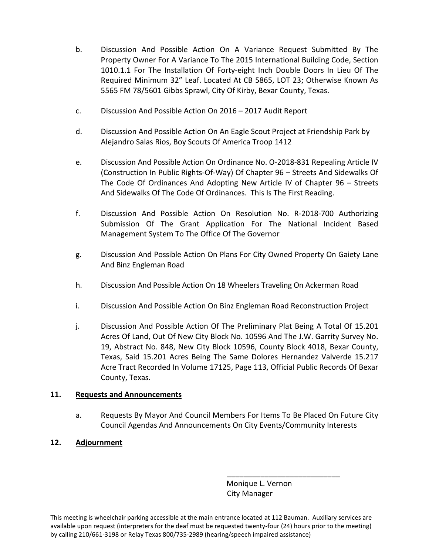- b. Discussion And Possible Action On A Variance Request Submitted By The Property Owner For A Variance To The 2015 International Building Code, Section 1010.1.1 For The Installation Of Forty-eight Inch Double Doors In Lieu Of The Required Minimum 32" Leaf. Located At CB 5865, LOT 23; Otherwise Known As 5565 FM 78/5601 Gibbs Sprawl, City Of Kirby, Bexar County, Texas.
- c. Discussion And Possible Action On 2016 2017 Audit Report
- d. Discussion And Possible Action On An Eagle Scout Project at Friendship Park by Alejandro Salas Rios, Boy Scouts Of America Troop 1412
- e. Discussion And Possible Action On Ordinance No. O-2018-831 Repealing Article IV (Construction In Public Rights-Of-Way) Of Chapter 96 – Streets And Sidewalks Of The Code Of Ordinances And Adopting New Article IV of Chapter 96 – Streets And Sidewalks Of The Code Of Ordinances. This Is The First Reading.
- f. Discussion And Possible Action On Resolution No. R-2018-700 Authorizing Submission Of The Grant Application For The National Incident Based Management System To The Office Of The Governor
- g. Discussion And Possible Action On Plans For City Owned Property On Gaiety Lane And Binz Engleman Road
- h. Discussion And Possible Action On 18 Wheelers Traveling On Ackerman Road
- i. Discussion And Possible Action On Binz Engleman Road Reconstruction Project
- j. Discussion And Possible Action Of The Preliminary Plat Being A Total Of 15.201 Acres Of Land, Out Of New City Block No. 10596 And The J.W. Garrity Survey No. 19, Abstract No. 848, New City Block 10596, County Block 4018, Bexar County, Texas, Said 15.201 Acres Being The Same Dolores Hernandez Valverde 15.217 Acre Tract Recorded In Volume 17125, Page 113, Official Public Records Of Bexar County, Texas.

# **11. Requests and Announcements**

a. Requests By Mayor And Council Members For Items To Be Placed On Future City Council Agendas And Announcements On City Events/Community Interests

# **12. Adjournment**

 Monique L. Vernon City Manager

\_\_\_\_\_\_\_\_\_\_\_\_\_\_\_\_\_\_\_\_\_\_\_\_\_\_\_

This meeting is wheelchair parking accessible at the main entrance located at 112 Bauman. Auxiliary services are available upon request (interpreters for the deaf must be requested twenty-four (24) hours prior to the meeting) by calling 210/661-3198 or Relay Texas 800/735-2989 (hearing/speech impaired assistance)